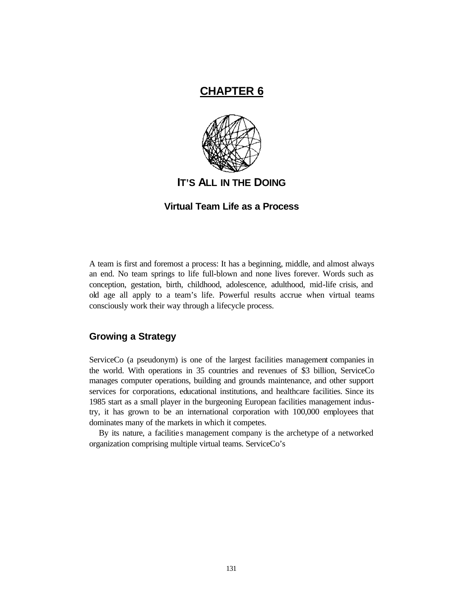# **CHAPTER 6**



# **IT'S ALL IN THE DOING**

## **Virtual Team Life as a Process**

A team is first and foremost a process: It has a beginning, middle, and almost always an end. No team springs to life full-blown and none lives forever. Words such as conception, gestation, birth, childhood, adolescence, adulthood, mid-life crisis, and old age all apply to a team's life. Powerful results accrue when virtual teams consciously work their way through a lifecycle process.

## **Growing a Strategy**

ServiceCo (a pseudonym) is one of the largest facilities management companies in the world. With operations in 35 countries and revenues of \$3 billion, ServiceCo manages computer operations, building and grounds maintenance, and other support services for corporations, educational institutions, and healthcare facilities. Since its 1985 start as a small player in the burgeoning European facilities management industry, it has grown to be an international corporation with 100,000 employees that dominates many of the markets in which it competes.

By its nature, a facilities management company is the archetype of a networked organization comprising multiple virtual teams. ServiceCo's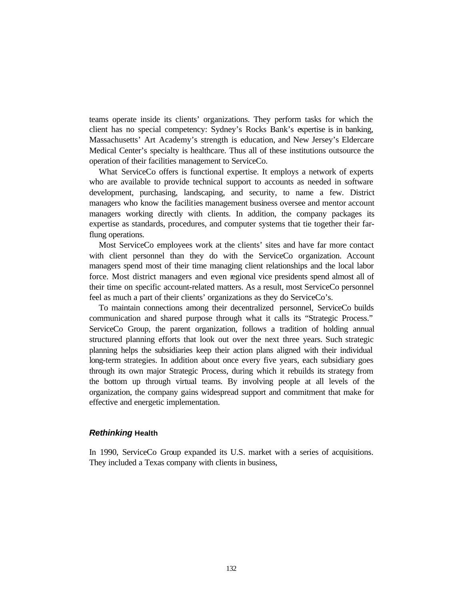teams operate inside its clients' organizations. They perform tasks for which the client has no special competency: Sydney's Rocks Bank's expertise is in banking, Massachusetts' Art Academy's strength is education, and New Jersey's Eldercare Medical Center's specialty is healthcare. Thus all of these institutions outsource the operation of their facilities management to ServiceCo.

What ServiceCo offers is functional expertise. It employs a network of experts who are available to provide technical support to accounts as needed in software development, purchasing, landscaping, and security, to name a few. District managers who know the facilities management business oversee and mentor account managers working directly with clients. In addition, the company packages its expertise as standards, procedures, and computer systems that tie together their farflung operations.

Most ServiceCo employees work at the clients' sites and have far more contact with client personnel than they do with the ServiceCo organization. Account managers spend most of their time managing client relationships and the local labor force. Most district managers and even regional vice presidents spend almost all of their time on specific account-related matters. As a result, most ServiceCo personnel feel as much a part of their clients' organizations as they do ServiceCo's.

To maintain connections among their decentralized personnel, ServiceCo builds communication and shared purpose through what it calls its "Strategic Process." ServiceCo Group, the parent organization, follows a tradition of holding annual structured planning efforts that look out over the next three years. Such strategic planning helps the subsidiaries keep their action plans aligned with their individual long-term strategies. In addition about once every five years, each subsidiary goes through its own major Strategic Process, during which it rebuilds its strategy from the bottom up through virtual teams. By involving people at all levels of the organization, the company gains widespread support and commitment that make for effective and energetic implementation.

#### *Rethinking* **Health**

In 1990, ServiceCo Group expanded its U.S. market with a series of acquisitions. They included a Texas company with clients in business,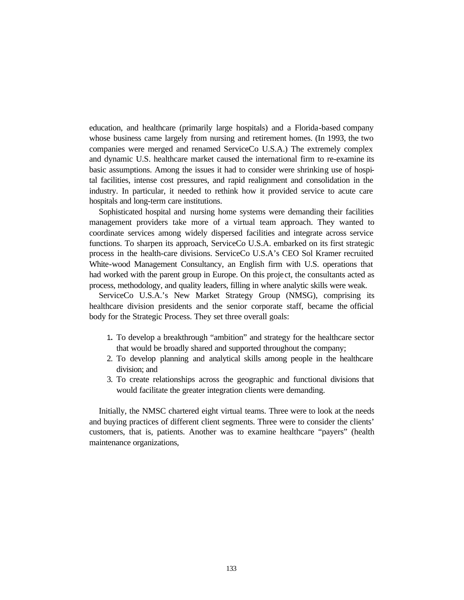education, and healthcare (primarily large hospitals) and a Florida-based company whose business came largely from nursing and retirement homes. (In 1993, the two companies were merged and renamed ServiceCo U.S.A.) The extremely complex and dynamic U.S. healthcare market caused the international firm to re-examine its basic assumptions. Among the issues it had to consider were shrinking use of hospital facilities, intense cost pressures, and rapid realignment and consolidation in the industry. In particular, it needed to rethink how it provided service to acute care hospitals and long-term care institutions.

Sophisticated hospital and nursing home systems were demanding their facilities management providers take more of a virtual team approach. They wanted to coordinate services among widely dispersed facilities and integrate across service functions. To sharpen its approach, ServiceCo U.S.A. embarked on its first strategic process in the health-care divisions. ServiceCo U.S.A's CEO Sol Kramer recruited White-wood Management Consultancy, an English firm with U.S. operations that had worked with the parent group in Europe. On this proje ct, the consultants acted as process, methodology, and quality leaders, filling in where analytic skills were weak.

ServiceCo U.S.A.'s New Market Strategy Group (NMSG), comprising its healthcare division presidents and the senior corporate staff, became the official body for the Strategic Process. They set three overall goals:

- 1**.** To develop a breakthrough "ambition" and strategy for the healthcare sector that would be broadly shared and supported throughout the company;
- 2. To develop planning and analytical skills among people in the healthcare division; and
- 3. To create relationships across the geographic and functional divisions that would facilitate the greater integration clients were demanding.

Initially, the NMSC chartered eight virtual teams. Three were to look at the needs and buying practices of different client segments. Three were to consider the clients' customers, that is, patients. Another was to examine healthcare "payers" (health maintenance organizations,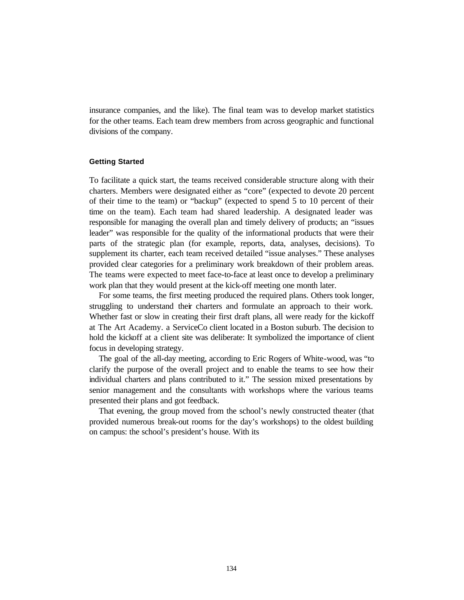insurance companies, and the like). The final team was to develop market statistics for the other teams. Each team drew members from across geographic and functional divisions of the company.

#### **Getting Started**

To facilitate a quick start, the teams received considerable structure along with their charters. Members were designated either as "core" (expected to devote 20 percent of their time to the team) or "backup" (expected to spend 5 to 10 percent of their time on the team). Each team had shared leadership. A designated leader was responsible for managing the overall plan and timely delivery of products; an "issues leader" was responsible for the quality of the informational products that were their parts of the strategic plan (for example, reports, data, analyses, decisions). To supplement its charter, each team received detailed "issue analyses." These analyses provided clear categories for a preliminary work breakdown of their problem areas. The teams were expected to meet face-to-face at least once to develop a preliminary work plan that they would present at the kick-off meeting one month later.

For some teams, the first meeting produced the required plans. Others took longer, struggling to understand their charters and formulate an approach to their work. Whether fast or slow in creating their first draft plans, all were ready for the kickoff at The Art Academy. a ServiceCo client located in a Boston suburb. The decision to hold the kickoff at a client site was deliberate: It symbolized the importance of client focus in developing strategy.

The goal of the all-day meeting, according to Eric Rogers of White-wood, was "to clarify the purpose of the overall project and to enable the teams to see how their individual charters and plans contributed to it." The session mixed presentations by senior management and the consultants with workshops where the various teams presented their plans and got feedback.

That evening, the group moved from the school's newly constructed theater (that provided numerous break-out rooms for the day's workshops) to the oldest building on campus: the school's president's house. With its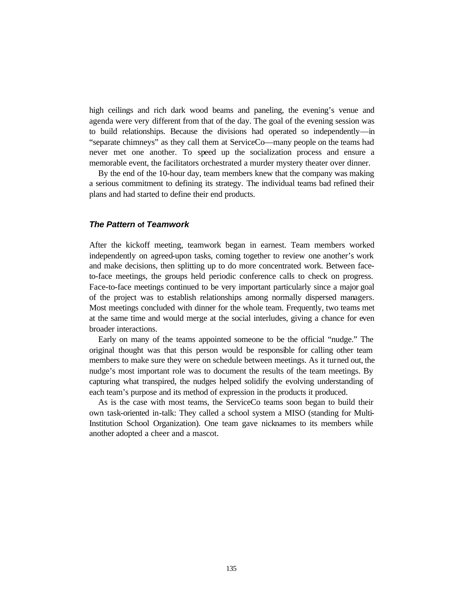high ceilings and rich dark wood beams and paneling, the evening's venue and agenda were very different from that of the day. The goal of the evening session was to build relationships. Because the divisions had operated so independently—in "separate chimneys" as they call them at ServiceCo—many people on the teams had never met one another. To speed up the socialization process and ensure a memorable event, the facilitators orchestrated a murder mystery theater over dinner.

By the end of the 10-hour day, team members knew that the company was making a serious commitment to defining its strategy. The individual teams bad refined their plans and had started to define their end products.

#### *The Pattern* **of** *Teamwork*

After the kickoff meeting, teamwork began in earnest. Team members worked independently on agreed-upon tasks, coming together to review one another's work and make decisions, then splitting up to do more concentrated work. Between faceto-face meetings, the groups held periodic conference calls to check on progress. Face-to-face meetings continued to be very important particularly since a major goal of the project was to establish relationships among normally dispersed managers. Most meetings concluded with dinner for the whole team. Frequently, two teams met at the same time and would merge at the social interludes, giving a chance for even broader interactions.

Early on many of the teams appointed someone to be the official "nudge." The original thought was that this person would be responsible for calling other team members to make sure they were on schedule between meetings. As it turned out, the nudge's most important role was to document the results of the team meetings. By capturing what transpired, the nudges helped solidify the evolving understanding of each team's purpose and its method of expression in the products it produced.

As is the case with most teams, the ServiceCo teams soon began to build their own task-oriented in-talk: They called a school system a MISO (standing for Multi-Institution School Organization). One team gave nicknames to its members while another adopted a cheer and a mascot.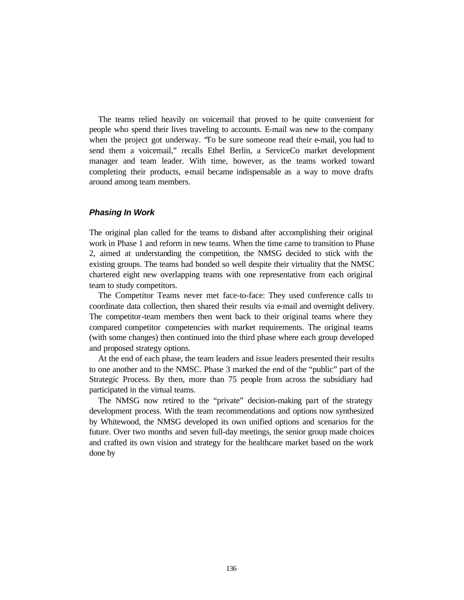The teams relied heavily on voicemail that proved to be quite convenient for people who spend their lives traveling to accounts. E-mail was new to the company when the project got underway. "To be sure someone read their e-mail, you had to send them a voicemail," recalls Ethel Berlin, a ServiceCo market development manager and team leader. With time, however, as the teams worked toward completing their products, e-mail became indispensable as a way to move drafts around among team members.

#### *Phasing In Work*

The original plan called for the teams to disband after accomplishing their original work in Phase 1 and reform in new teams. When the time came to transition to Phase 2, aimed at understanding the competition, the NMSG decided to stick with the existing groups. The teams had bonded so well despite their virtuality that the NMSC chartered eight new overlapping teams with one representative from each original team to study competitors.

The Competitor Teams never met face-to-face: They used conference calls to coordinate data collection, then shared their results via e-mail and overnight delivery. The competitor-team members then went back to their original teams where they compared competitor competencies with market requirements. The original teams (with some changes) then continued into the third phase where each group developed and proposed strategy options.

At the end of each phase, the team leaders and issue leaders presented their results to one another and to the NMSC. Phase 3 marked the end of the "public" part of the Strategic Process. By then, more than 75 people from across the subsidiary had participated in the virtual teams.

The NMSG now retired to the "private" decision-making part of the strategy development process. With the team recommendations and options now synthesized by Whitewood, the NMSG developed its own unified options and scenarios for the future. Over two months and seven full-day meetings, the senior group made choices and crafted its own vision and strategy for the healthcare market based on the work done by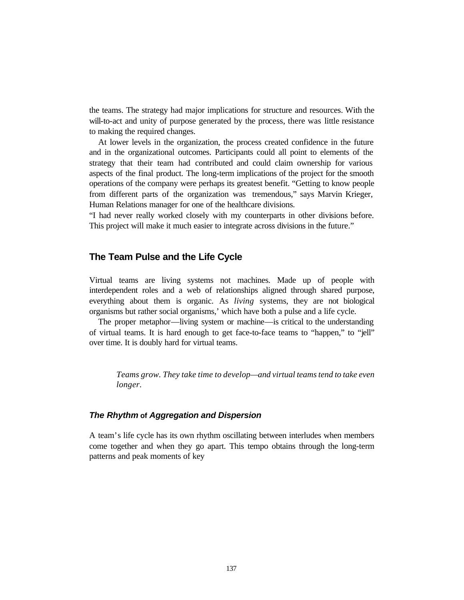the teams. The strategy had major implications for structure and resources. With the will-to-act and unity of purpose generated by the process, there was little resistance to making the required changes.

At lower levels in the organization, the process created confidence in the future and in the organizational outcomes. Participants could all point to elements of the strategy that their team had contributed and could claim ownership for various aspects of the final product. The long-term implications of the project for the smooth operations of the company were perhaps its greatest benefit. "Getting to know people from different parts of the organization was tremendous," says Marvin Krieger, Human Relations manager for one of the healthcare divisions.

"I had never really worked closely with my counterparts in other divisions before. This project will make it much easier to integrate across divisions in the future."

### **The Team Pulse and the Life Cycle**

Virtual teams are living systems not machines. Made up of people with interdependent roles and a web of relationships aligned through shared purpose, everything about them is organic. As *living* systems, they are not biological organisms but rather social organisms,' which have both a pulse and a life cycle.

The proper metaphor—living system or machine—is critical to the understanding of virtual teams. It is hard enough to get face-to-face teams to "happen," to "jell" over time. It is doubly hard for virtual teams.

*Teams grow. They take time to develop—and virtual teams tend to take even longer.*

#### *The Rhythm* **of** *Aggregation and Dispersion*

A team's life cycle has its own rhythm oscillating between interludes when members come together and when they go apart. This tempo obtains through the long-term patterns and peak moments of key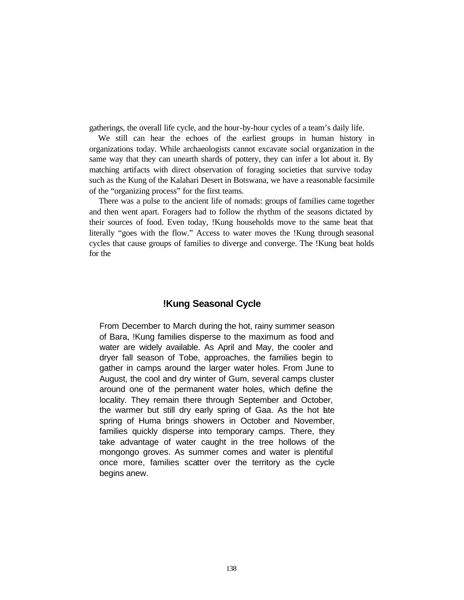gatherings, the overall life cycle, and the hour-by-hour cycles of a team's daily life.

We still can hear the echoes of the earliest groups in human history in organizations today. While archaeologists cannot excavate social organization in the same way that they can unearth shards of pottery, they can infer a lot about it. By matching artifacts with direct observation of foraging societies that survive today such as the Kung of the Kalahari Desert in Botswana, we have a reasonable facsimile of the "organizing process" for the first teams.

There was a pulse to the ancient life of nomads: groups of families came together and then went apart. Foragers had to follow the rhythm of the seasons dictated by their sources of food. Even today, !Kung households move to the same beat that literally "goes with the flow." Access to water moves the !Kung through seasonal cycles that cause groups of families to diverge and converge. The !Kung beat holds for the

## **!Kung Seasonal Cycle**

From December to March during the hot, rainy summer season of Bara, !Kung families disperse to the maximum as food and water are widely available. As April and May, the cooler and dryer fall season of Tobe, approaches, the families begin to gather in camps around the larger water holes. From June to August, the cool and dry winter of Gum, several camps cluster around one of the permanent water holes, which define the locality. They remain there through September and October, the warmer but still dry early spring of Gaa. As the hot late spring of Huma brings showers in October and November, families quickly disperse into temporary camps. There, they take advantage of water caught in the tree hollows of the mongongo groves. As summer comes and water is plentiful once more, families scatter over the territory as the cycle begins anew.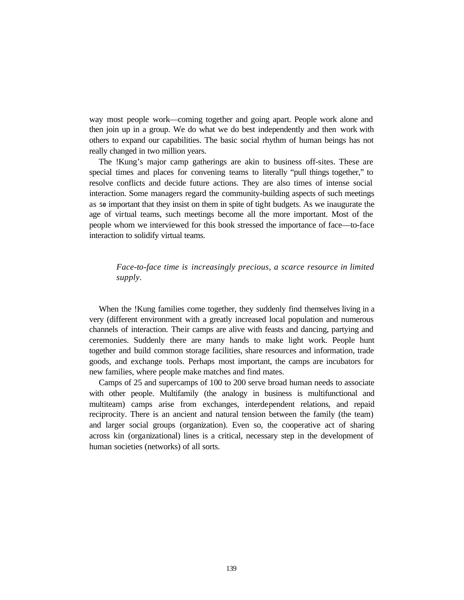way most people work—coming together and going apart. People work alone and then join up in a group. We do what we do best independently and then work with others to expand our capabilities. The basic social rhythm of human beings has not really changed in two million years.

The !Kung's major camp gatherings are akin to business off-sites. These are special times and places for convening teams to literally "pull things together," to resolve conflicts and decide future actions. They are also times of intense social interaction. Some managers regard the community-building aspects of such meetings as **50** important that they insist on them in spite of tight budgets. As we inaugurate the age of virtual teams, such meetings become all the more important. Most of the people whom we interviewed for this book stressed the importance of face—to-face interaction to solidify virtual teams.

## *Face-to-face time is increasingly precious, a scarce resource in limited supply.*

When the !Kung families come together, they suddenly find themselves living in a very (different environment with a greatly increased local population and numerous channels of interaction. Their camps are alive with feasts and dancing, partying and ceremonies. Suddenly there are many hands to make light work. People hunt together and build common storage facilities, share resources and information, trade goods, and exchange tools. Perhaps most important, the camps are incubators for new families, where people make matches and find mates.

Camps of 25 and supercamps of 100 to 200 serve broad human needs to associate with other people. Multifamily (the analogy in business is multifunctional and multiteam) camps arise from exchanges, interdependent relations, and repaid reciprocity. There is an ancient and natural tension between the family (the team) and larger social groups (organization). Even so, the cooperative act of sharing across kin (organizational) lines is a critical, necessary step in the development of human societies (networks) of all sorts.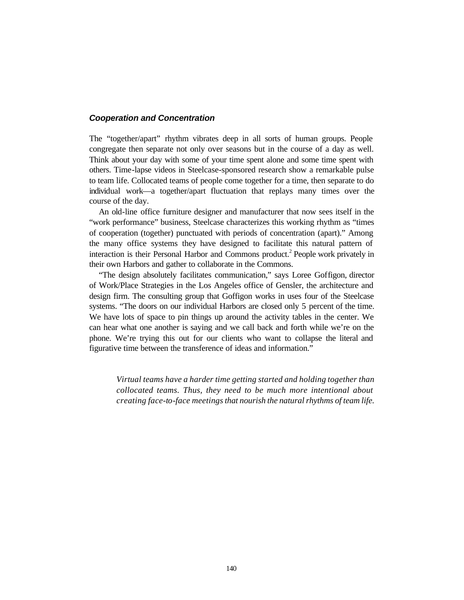#### *Cooperation and Concentration*

The "together/apart" rhythm vibrates deep in all sorts of human groups. People congregate then separate not only over seasons but in the course of a day as well. Think about your day with some of your time spent alone and some time spent with others. Time-lapse videos in Steelcase-sponsored research show a remarkable pulse to team life. Collocated teams of people come together for a time, then separate to do individual work—a together/apart fluctuation that replays many times over the course of the day.

An old-line office furniture designer and manufacturer that now sees itself in the "work performance" business, Steelcase characterizes this working rhythm as "times of cooperation (together) punctuated with periods of concentration (apart)." Among the many office systems they have designed to facilitate this natural pattern of interaction is their Personal Harbor and Commons product.<sup>2</sup> People work privately in their own Harbors and gather to collaborate in the Commons.

"The design absolutely facilitates communication," says Loree Goffigon, director of Work/Place Strategies in the Los Angeles office of Gensler, the architecture and design firm. The consulting group that Goffigon works in uses four of the Steelcase systems. "The doors on our individual Harbors are closed only 5 percent of the time. We have lots of space to pin things up around the activity tables in the center. We can hear what one another is saying and we call back and forth while we're on the phone. We're trying this out for our clients who want to collapse the literal and figurative time between the transference of ideas and information."

*Virtual teams have a harder time getting started and holding together than collocated teams. Thus, they need to be much more intentional about creating face-to-face meetings that nourish the natural rhythms of team life.*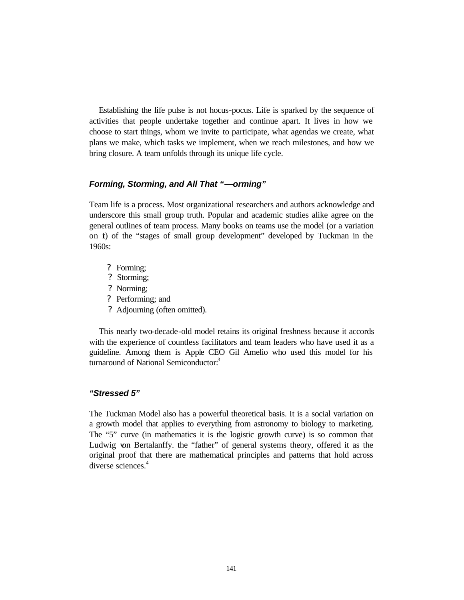Establishing the life pulse is not hocus-pocus. Life is sparked by the sequence of activities that people undertake together and continue apart. It lives in how we choose to start things, whom we invite to participate, what agendas we create, what plans we make, which tasks we implement, when we reach milestones, and how we bring closure. A team unfolds through its unique life cycle.

## *Forming, Storming, and All That "—orming"*

Team life is a process. Most organizational researchers and authors acknowledge and underscore this small group truth. Popular and academic studies alike agree on the general outlines of team process. Many books on teams use the model (or a variation on i) of the "stages of small group development" developed by Tuckman in the 1960s:

- ? Forming;
- ? Storming;
- ? Norming;
- ? Performing; and
- ? Adjourning (often omitted).

This nearly two-decade-old model retains its original freshness because it accords with the experience of countless facilitators and team leaders who have used it as a guideline. Among them is Apple CEO Gil Amelio who used this model for his turnaround of National Semiconductor:<sup>3</sup>

## *"Stressed 5"*

The Tuckman Model also has a powerful theoretical basis. It is a social variation on a growth model that applies to everything from astronomy to biology to marketing. The "5" curve (in mathematics it is the logistic growth curve) is so common that Ludwig von Bertalanffy. the "father" of general systems theory, offered it as the original proof that there are mathematical principles and patterns that hold across diverse sciences.<sup>4</sup>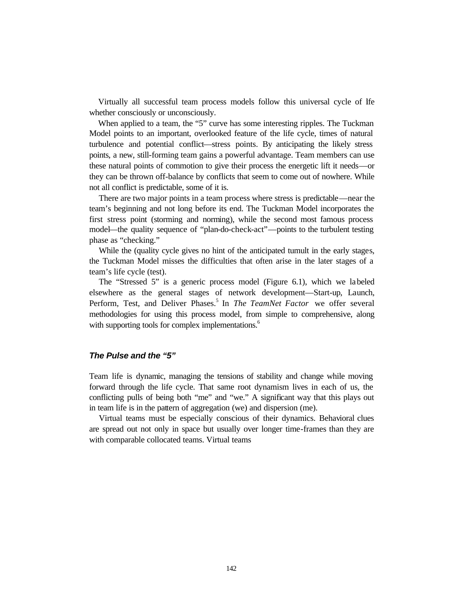Virtually all successful team process models follow this universal cycle of life whether consciously or unconsciously.

When applied to a team, the "5" curve has some interesting ripples. The Tuckman Model points to an important, overlooked feature of the life cycle, times of natural turbulence and potential conflict—stress points. By anticipating the likely stress points, a new, still-forming team gains a powerful advantage. Team members can use these natural points of commotion to give their process the energetic lift it needs—or they can be thrown off-balance by conflicts that seem to come out of nowhere. While not all conflict is predictable, some of it is.

There are two major points in a team process where stress is predictable—near the team's beginning and not long before its end. The Tuckman Model incorporates the first stress point (storming and norming), while the second most famous process model—the quality sequence of "plan-do-check-act"—points to the turbulent testing phase as "checking."

While the (quality cycle gives no hint of the anticipated tumult in the early stages, the Tuckman Model misses the difficulties that often arise in the later stages of a team's life cycle (test).

The "Stressed 5" is a generic process model (Figure 6.1), which we labeled elsewhere as the general stages of network development—Start-up, Launch, Perform, Test, and Deliver Phases.<sup>5</sup> In *The TeamNet Factor* we offer several methodologies for using this process model, from simple to comprehensive, along with supporting tools for complex implementations.<sup>6</sup>

## *The Pulse and the "5"*

Team life is dynamic, managing the tensions of stability and change while moving forward through the life cycle. That same root dynamism lives in each of us, the conflicting pulls of being both "me" and "we." A significant way that this plays out in team life is in the pattern of aggregation (we) and dispersion (me).

Virtual teams must be especially conscious of their dynamics. Behavioral clues are spread out not only in space but usually over longer time-frames than they are with comparable collocated teams. Virtual teams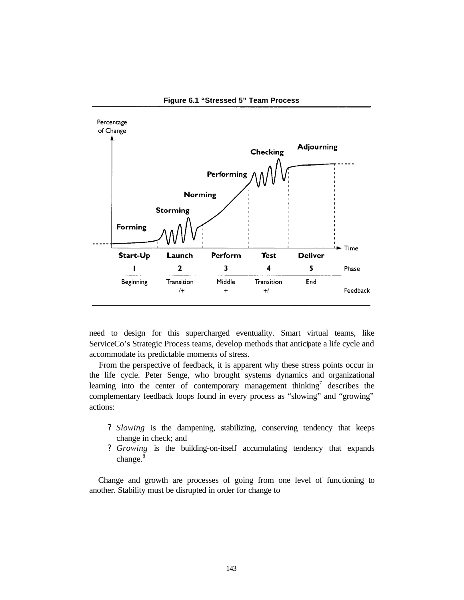

**Figure 6.1 "Stressed 5" Team Process**

need to design for this supercharged eventuality. Smart virtual teams, like ServiceCo's Strategic Process teams, develop methods that anticipate a life cycle and accommodate its predictable moments of stress.

From the perspective of feedback, it is apparent why these stress points occur in the life cycle. Peter Senge, who brought systems dynamics and organizational learning into the center of contemporary management thinking<sup>7</sup> describes the complementary feedback loops found in every process as "slowing" and "growing" actions:

- *? Slowing* is the dampening, stabilizing, conserving tendency that keeps change in check; and
- *? Growing* is the building-on-itself accumulating tendency that expands change.<sup>8</sup>

Change and growth are processes of going from one level of functioning to another. Stability must be disrupted in order for change to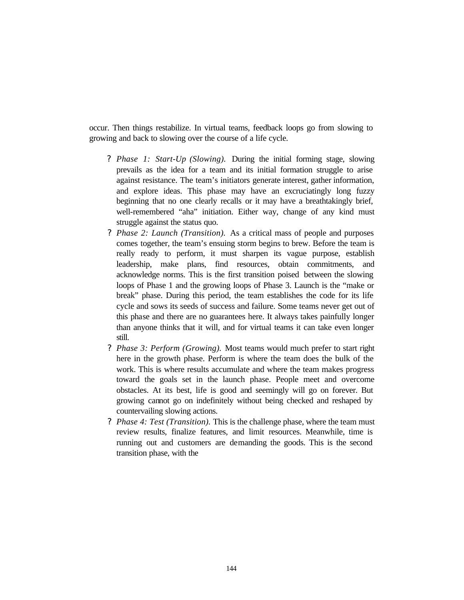occur. Then things restabilize. In virtual teams, feedback loops go from slowing to growing and back to slowing over the course of a life cycle.

- *? Phase 1: Start-Up (Slowing).* During the initial forming stage, slowing prevails as the idea for a team and its initial formation struggle to arise against resistance. The team's initiators generate interest, gather information, and explore ideas. This phase may have an excruciatingly long fuzzy beginning that no one clearly recalls or it may have a breathtakingly brief, well-remembered "aha" initiation. Either way, change of any kind must struggle against the status quo.
- *? Phase 2: Launch (Transition).* As a critical mass of people and purposes comes together, the team's ensuing storm begins to brew. Before the team is really ready to perform, it must sharpen its vague purpose, establish leadership, make plans, find resources, obtain commitments, and acknowledge norms. This is the first transition poised between the slowing loops of Phase 1 and the growing loops of Phase 3. Launch is the "make or break" phase. During this period, the team establishes the code for its life cycle and sows its seeds of success and failure. Some teams never get out of this phase and there are no guarantees here. It always takes painfully longer than anyone thinks that it will, and for virtual teams it can take even longer still.
- *? Phase 3: Perform (Growing).* Most teams would much prefer to start right here in the growth phase. Perform is where the team does the bulk of the work. This is where results accumulate and where the team makes progress toward the goals set in the launch phase. People meet and overcome obstacles. At its best, life is good and seemingly will go on forever. But growing cannot go on indefinitely without being checked and reshaped by countervailing slowing actions.
- *? Phase 4: Test (Transition).* This is the challenge phase, where the team must review results, finalize features, and limit resources. Meanwhile, time is running out and customers are demanding the goods. This is the second transition phase, with the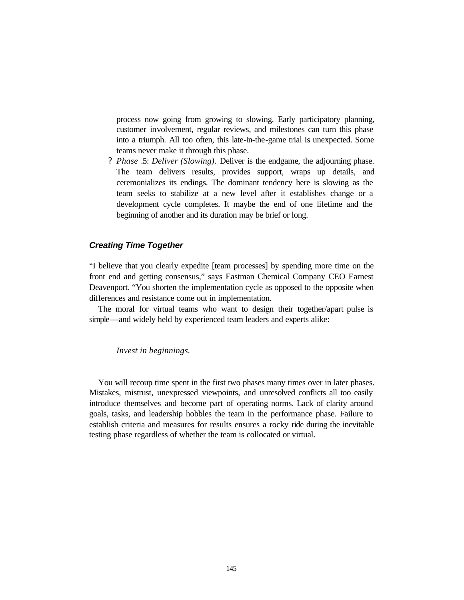process now going from growing to slowing. Early participatory planning, customer involvement, regular reviews, and milestones can turn this phase into a triumph. All too often, this late-in-the-game trial is unexpected. Some teams never make it through this phase.

*? Phase* .5: *Deliver (Slowing).* Deliver is the endgame, the adjourning phase. The team delivers results, provides support, wraps up details, and ceremonializes its endings. The dominant tendency here is slowing as the team seeks to stabilize at a new level after it establishes change or a development cycle completes. It maybe the end of one lifetime and the beginning of another and its duration may be brief or long.

## *Creating Time Together*

"I believe that you clearly expedite [team processes] by spending more time on the front end and getting consensus," says Eastman Chemical Company CEO Earnest Deavenport. "You shorten the implementation cycle as opposed to the opposite when differences and resistance come out in implementation.

The moral for virtual teams who want to design their together/apart pulse is simple—and widely held by experienced team leaders and experts alike:

#### *Invest in beginnings.*

You will recoup time spent in the first two phases many times over in later phases. Mistakes, mistrust, unexpressed viewpoints, and unresolved conflicts all too easily introduce themselves and become part of operating norms. Lack of clarity around goals, tasks, and leadership hobbles the team in the performance phase. Failure to establish criteria and measures for results ensures a rocky ride during the inevitable testing phase regardless of whether the team is collocated or virtual.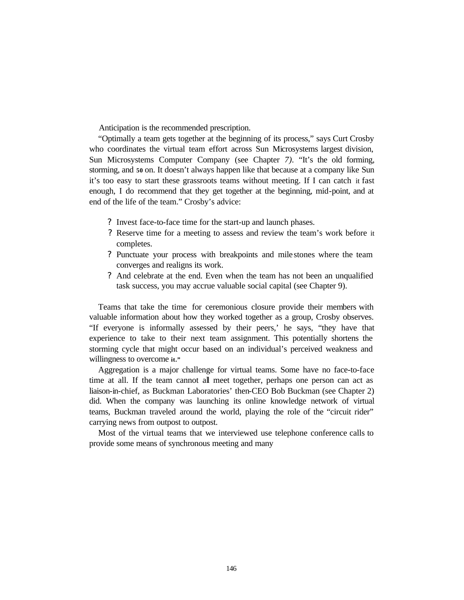Anticipation is the recommended prescription.

"Optimally a team gets together at the beginning of its process," says Curt Crosby who coordinates the virtual team effort across Sun Microsystems largest division, Sun Microsystems Computer Company (see Chapter *7).* "It's the old forming, storming, and **50** on. It doesn't always happen like that because at a company like Sun it's too easy to start these grassroots teams without meeting. If I can catch it fast enough, I do recommend that they get together at the beginning, mid-point, and at end of the life of the team." Crosby's advice:

- ? Invest face-to-face time for the start-up and launch phases.
- ? Reserve time for a meeting to assess and review the team's work before it completes.
- ? Punctuate your process with breakpoints and mile stones where the team converges and realigns its work.
- ? And celebrate at the end. Even when the team has not been an unqualified task success, you may accrue valuable social capital (see Chapter 9).

Teams that take the time for ceremonious closure provide their members with valuable information about how they worked together as a group, Crosby observes. "If everyone is informally assessed by their peers,' he says, "they have that experience to take to their next team assignment. This potentially shortens the storming cycle that might occur based on an individual's perceived weakness and willingness to overcome **it."**

Aggregation is a major challenge for virtual teams. Some have no face-to-face time at all. If the team cannot all meet together, perhaps one person can act as liaison-in-chief, as Buckman Laboratories' then-CEO Bob Buckman (see Chapter 2) did. When the company was launching its online knowledge network of virtual teams, Buckman traveled around the world, playing the role of the "circuit rider" carrying news from outpost to outpost.

Most of the virtual teams that we interviewed use telephone conference calls to provide some means of synchronous meeting and many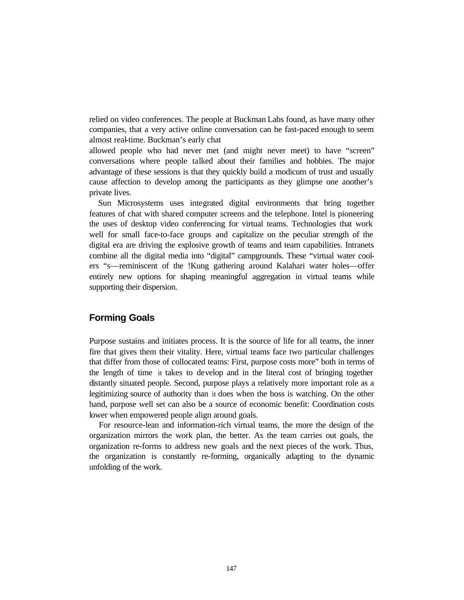relied on video conferences. The people at Buckman Labs found, as have many other companies, that a very active online conversation can he fast-paced enough to seem almost real-time. Buckman's early chat

allowed people who had never met (and might never meet) to have "screen" conversations where people talked about their families and hobbies. The major advantage of these sessions is that they quickly build a modicum of trust and usually cause affection to develop among the participants as they glimpse one another's private lives.

Sun Microsystems uses integrated digital environments that bring together features of chat with shared computer screens and the telephone. Intel is pioneering the uses of desktop video conferencing for virtual teams. Technologies that work well for small face-to-face groups and capitalize on the peculiar strength of the digital era are driving the explosive growth of teams and team capabilities. Intranets combine all the digital media into "digital" campgrounds. These "virtual water coolers "s—reminiscent of the !Kung gathering around Kalahari water holes—offer entirely new options for shaping meaningful aggregation in virtual teams while supporting their dispersion.

## **Forming Goals**

Purpose sustains and initiates process. It is the source of life for all teams, the inner fire that gives them their vitality. Here, virtual teams face two particular challenges that differ from those of collocated teams: First, purpose costs more" both in terms of the length of time it takes to develop and in the literal cost of bringing together distantly situated people. Second, purpose plays a relatively more important role as a legitimizing source of authority than it does when the boss is watching. On the other hand, purpose well set can also be a source of economic benefit: Coordination costs lower when empowered people align around goals.

For resource-lean and information-rich virtual teams, the more the design of the organization mirrors the work plan, the better. As the team carries out goals, the organization re-forms to address new goals and the next pieces of the work. Thus, the organization is constantly re-forming, organically adapting to the dynamic unfolding of the work.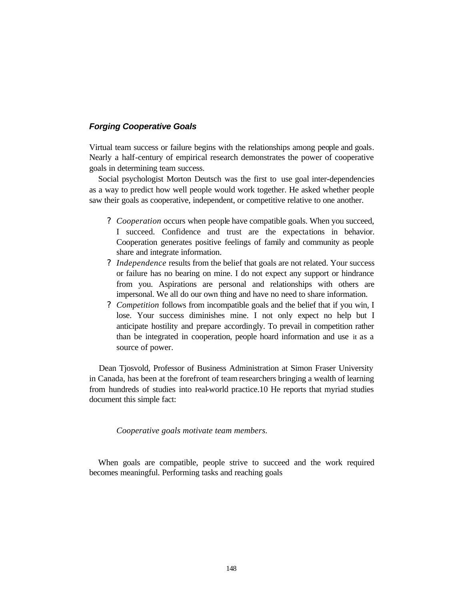## *Forging Cooperative Goals*

Virtual team success or failure begins with the relationships among people and goals. Nearly a half-century of empirical research demonstrates the power of cooperative goals in determining team success.

Social psychologist Morton Deutsch was the first to use goal inter-dependencies as a way to predict how well people would work together. He asked whether people saw their goals as cooperative, independent, or competitive relative to one another.

- *? Cooperation* occurs when people have compatible goals. When you succeed, I succeed. Confidence and trust are the expectations in behavior. Cooperation generates positive feelings of family and community as people share and integrate information.
- *? Independence* results from the belief that goals are not related. Your success or failure has no bearing on mine. I do not expect any support or hindrance from you. Aspirations are personal and relationships with others are impersonal. We all do our own thing and have no need to share information.
- *? Competition* follows from incompatible goals and the belief that if you win, I lose. Your success diminishes mine. I not only expect no help but I anticipate hostility and prepare accordingly. To prevail in competition rather than be integrated in cooperation, people hoard information and use it as a source of power.

Dean Tjosvold, Professor of Business Administration at Simon Fraser University in Canada, has been at the forefront of team researchers bringing a wealth of learning from hundreds of studies into real-world practice.10 He reports that myriad studies document this simple fact:

*Cooperative goals motivate team members.*

When goals are compatible, people strive to succeed and the work required becomes meaningful. Performing tasks and reaching goals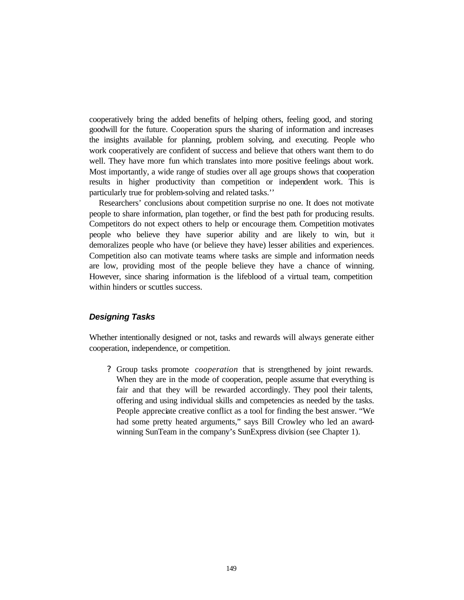cooperatively bring the added benefits of helping others, feeling good, and storing goodwill for the future. Cooperation spurs the sharing of information and increases the insights available for planning, problem solving, and executing. People who work cooperatively are confident of success and believe that others want them to do well. They have more fun which translates into more positive feelings about work. Most importantly, a wide range of studies over all age groups shows that cooperation results in higher productivity than competition or independent work. This is particularly true for problem-solving and related tasks.''

Researchers' conclusions about competition surprise no one. It does not motivate people to share information, plan together, or find the best path for producing results. Competitors do not expect others to help or encourage them. Competition motivates people who believe they have superior ability and are likely to win, but it demoralizes people who have (or believe they have) lesser abilities and experiences. Competition also can motivate teams where tasks are simple and information needs are low, providing most of the people believe they have a chance of winning. However, since sharing information is the lifeblood of a virtual team, competition within hinders or scuttles success.

## *Designing Tasks*

Whether intentionally designed or not, tasks and rewards will always generate either cooperation, independence, or competition.

? Group tasks promote *cooperation* that is strengthened by joint rewards. When they are in the mode of cooperation, people assume that everything is fair and that they will be rewarded accordingly. They pool their talents, offering and using individual skills and competencies as needed by the tasks. People appreciate creative conflict as a tool for finding the best answer. "We had some pretty heated arguments," says Bill Crowley who led an awardwinning SunTeam in the company's SunExpress division (see Chapter 1).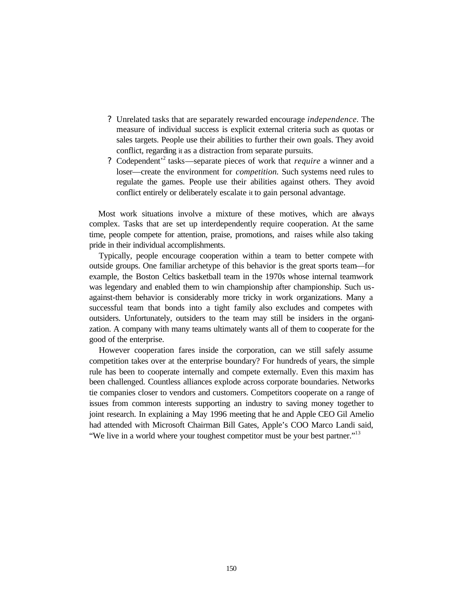- ? Unrelated tasks that are separately rewarded encourage *independence.* The measure of individual success is explicit external criteria such as quotas or sales targets. People use their abilities to further their own goals. They avoid conflict, regarding it as a distraction from separate pursuits.
- ? Codependent'<sup>2</sup>tasks—separate pieces of work that *require* a winner and a loser—create the environment for *competition.* Such systems need rules to regulate the games. People use their abilities against others. They avoid conflict entirely or deliberately escalate it to gain personal advantage.

Most work situations involve a mixture of these motives, which are always complex. Tasks that are set up interdependently require cooperation. At the same time, people compete for attention, praise, promotions, and raises while also taking pride in their individual accomplishments.

Typically, people encourage cooperation within a team to better compete with outside groups. One familiar archetype of this behavior is the great sports team—for example, the Boston Celtics basketball team in the 1970s whose internal teamwork was legendary and enabled them to win championship after championship. Such usagainst-them behavior is considerably more tricky in work organizations. Many a successful team that bonds into a tight family also excludes and competes with outsiders. Unfortunately, outsiders to the team may still be insiders in the organization. A company with many teams ultimately wants all of them to cooperate for the good of the enterprise.

However cooperation fares inside the corporation, can we still safely assume competition takes over at the enterprise boundary? For hundreds of years, the simple rule has been to cooperate internally and compete externally. Even this maxim has been challenged. Countless alliances explode across corporate boundaries. Networks tie companies closer to vendors and customers. Competitors cooperate on a range of issues from common interests supporting an industry to saving money together to joint research. In explaining a May 1996 meeting that he and Apple CEO Gil Amelio had attended with Microsoft Chairman Bill Gates, Apple's COO Marco Landi said, "We live in a world where your toughest competitor must be your best partner."<sup>13</sup>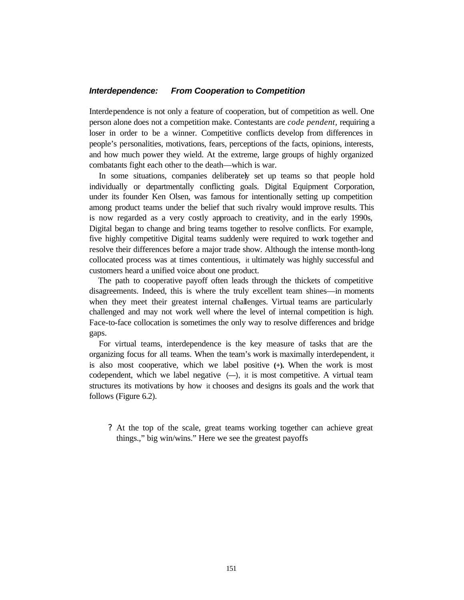#### *Interdependence: From Cooperation* **to** *Competition*

Interdependence is not only a feature of cooperation, but of competition as well. One person alone does not a competition make. Contestants are *code pendent,* requiring a loser in order to be a winner. Competitive conflicts develop from differences in people's personalities, motivations, fears, perceptions of the facts, opinions, interests, and how much power they wield. At the extreme, large groups of highly organized combatants fight each other to the death—which is war.

In some situations, companies deliberately set up teams so that people hold individually or departmentally conflicting goals. Digital Equipment Corporation, under its founder Ken Olsen, was famous for intentionally setting up competition among product teams under the belief that such rivalry would improve results. This is now regarded as a very costly approach to creativity, and in the early 1990s, Digital began to change and bring teams together to resolve conflicts. For example, five highly competitive Digital teams suddenly were required to work together and resolve their differences before a major trade show. Although the intense month-long collocated process was at times contentious, it ultimately was highly successful and customers heard a unified voice about one product.

The path to cooperative payoff often leads through the thickets of competitive disagreements. Indeed, this is where the truly excellent team shines—in moments when they meet their greatest internal challenges. Virtual teams are particularly challenged and may not work well where the level of internal competition is high. Face-to-face collocation is sometimes the only way to resolve differences and bridge gaps.

For virtual teams, interdependence is the key measure of tasks that are the organizing focus for all teams. When the team's work is maximally interdependent, it is also most cooperative, which we label positive **(+).** When the work is most codependent, which we label negative  $(-)$ , it is most competitive. A virtual team structures its motivations by how it chooses and designs its goals and the work that follows (Figure 6.2).

? At the top of the scale, great teams working together can achieve great things.," big win/wins." Here we see the greatest payoffs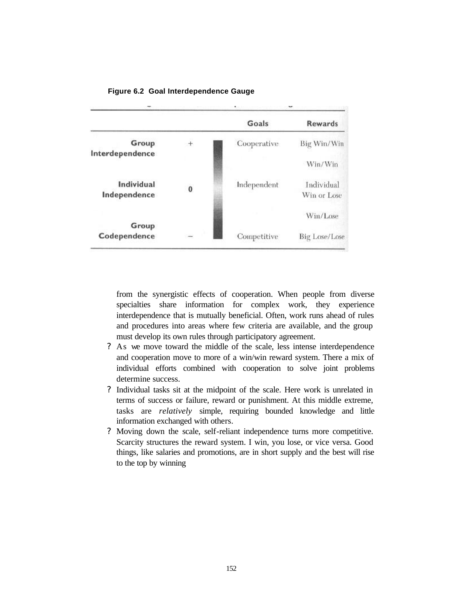

#### **Figure 6.2 Goal Interdependence Gauge**

from the synergistic effects of cooperation. When people from diverse specialties share information for complex work, they experience interdependence that is mutually beneficial. Often, work runs ahead of rules and procedures into areas where few criteria are available, and the group must develop its own rules through participatory agreement.

- ? As we move toward the middle of the scale, less intense interdependence and cooperation move to more of a win/win reward system. There a mix of individual efforts combined with cooperation to solve joint problems determine success.
- ? Individual tasks sit at the midpoint of the scale. Here work is unrelated in terms of success or failure, reward or punishment. At this middle extreme, tasks are *relatively* simple, requiring bounded knowledge and little information exchanged with others.
- ? Moving down the scale, self-reliant independence turns more competitive. Scarcity structures the reward system. I win, you lose, or vice versa. Good things, like salaries and promotions, are in short supply and the best will rise to the top by winning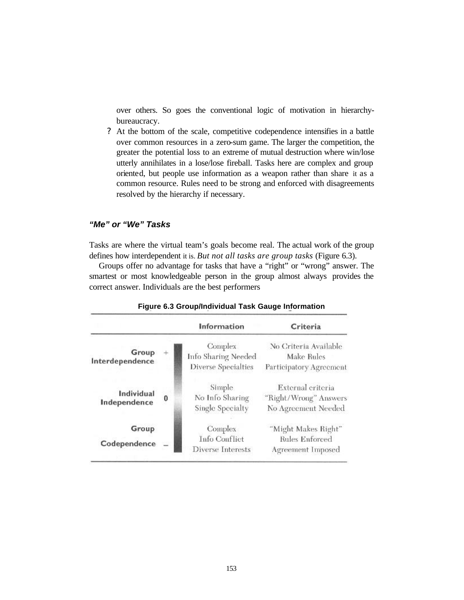over others. So goes the conventional logic of motivation in hierarchybureaucracy.

? At the bottom of the scale, competitive codependence intensifies in a battle over common resources in a zero-sum game. The larger the competition, the greater the potential loss to an extreme of mutual destruction where win/lose utterly annihilates in a lose/lose fireball. Tasks here are complex and group oriented, but people use information as a weapon rather than share it as a common resource. Rules need to be strong and enforced with disagreements resolved by the hierarchy if necessary.

#### *"Me" or "We" Tasks*

Tasks are where the virtual team's goals become real. The actual work of the group defines how interdependent it is. *But not all tasks are group tasks* (Figure 6.3).

Groups offer no advantage for tasks that have a "right" or "wrong" answer. The smartest or most knowledgeable person in the group almost always provides the correct answer. Individuals are the best performers

|                            |   | Information                                                  | Criteria                                                          |
|----------------------------|---|--------------------------------------------------------------|-------------------------------------------------------------------|
| Group<br>Interdependence   | ÷ | <b>Complex</b><br>Info Sharing Needed<br>Diverse Specialties | No Criteria Available<br>Make Bules<br>Participatory Agreement    |
| Individual<br>Independence | 0 | Simple<br>No Info Sharing<br>Single Specialty                | External criteria<br>"Right/Wrong" Answers<br>No Agreement Needed |
| Group<br>Codependence      |   | Complex<br><b>Info Conflict</b><br>Diverse Interests         | "Might Makes Right"<br><b>Rules Enforced</b><br>Agreement Imposed |

**Figure 6.3 Group/Individual Task Gauge Information**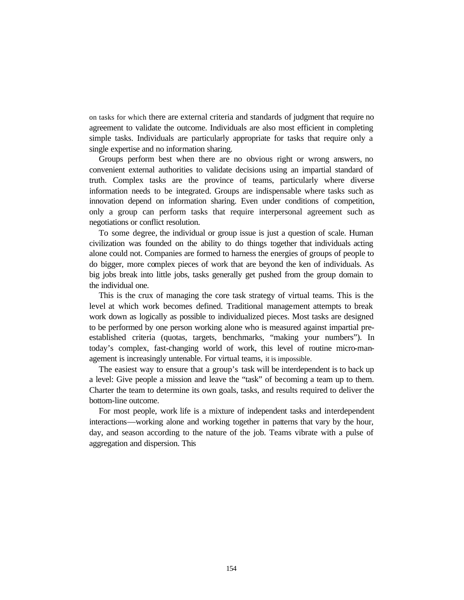on tasks for which there are external criteria and standards of judgment that require no agreement to validate the outcome. Individuals are also most efficient in completing simple tasks. Individuals are particularly appropriate for tasks that require only a single expertise and no information sharing.

Groups perform best when there are no obvious right or wrong answers, no convenient external authorities to validate decisions using an impartial standard of truth. Complex tasks are the province of teams, particularly where diverse information needs to be integrated. Groups are indispensable where tasks such as innovation depend on information sharing. Even under conditions of competition, only a group can perform tasks that require interpersonal agreement such as negotiations or conflict resolution.

To some degree, the individual or group issue is just a question of scale. Human civilization was founded on the ability to do things together that individuals acting alone could not. Companies are formed to harness the energies of groups of people to do bigger, more complex pieces of work that are beyond the ken of individuals. As big jobs break into little jobs, tasks generally get pushed from the group domain to the individual one.

This is the crux of managing the core task strategy of virtual teams. This is the level at which work becomes defined. Traditional management attempts to break work down as logically as possible to individualized pieces. Most tasks are designed to be performed by one person working alone who is measured against impartial preestablished criteria (quotas, targets, benchmarks, "making your numbers"). In today's complex, fast-changing world of work, this level of routine micro-management is increasingly untenable. For virtual teams, it is impossible.

The easiest way to ensure that a group's task will be interdependent is to back up a level: Give people a mission and leave the "task" of becoming a team up to them. Charter the team to determine its own goals, tasks, and results required to deliver the bottom-line outcome.

For most people, work life is a mixture of independent tasks and interdependent interactions—working alone and working together in patterns that vary by the hour, day, and season according to the nature of the job. Teams vibrate with a pulse of aggregation and dispersion. This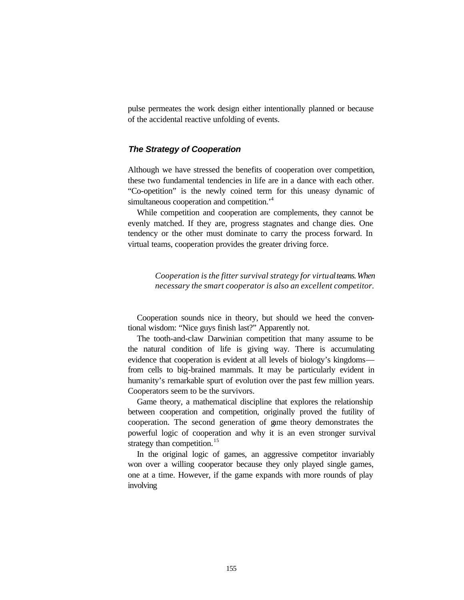pulse permeates the work design either intentionally planned or because of the accidental reactive unfolding of events.

## *The Strategy of Cooperation*

Although we have stressed the benefits of cooperation over competition, these two fundamental tendencies in life are in a dance with each other. "Co-opetition" is the newly coined term for this uneasy dynamic of simultaneous cooperation and competition.<sup>4</sup>

While competition and cooperation are complements, they cannot be evenly matched. If they are, progress stagnates and change dies. One tendency or the other must dominate to carry the process forward. In virtual teams, cooperation provides the greater driving force.

> *Cooperation is the fitter survival strategy for virtual teams. When necessary the smart cooperator is also an excellent competitor.*

Cooperation sounds nice in theory, but should we heed the conventional wisdom: "Nice guys finish last?" Apparently not.

The tooth-and-claw Darwinian competition that many assume to be the natural condition of life is giving way. There is accumulating evidence that cooperation is evident at all levels of biology's kingdoms from cells to big-brained mammals. It may be particularly evident in humanity's remarkable spurt of evolution over the past few million years. Cooperators seem to be the survivors.

Game theory, a mathematical discipline that explores the relationship between cooperation and competition, originally proved the futility of cooperation. The second generation of game theory demonstrates the powerful logic of cooperation and why it is an even stronger survival strategy than competition.<sup>15</sup>

In the original logic of games, an aggressive competitor invariably won over a willing cooperator because they only played single games, one at a time. However, if the game expands with more rounds of play involving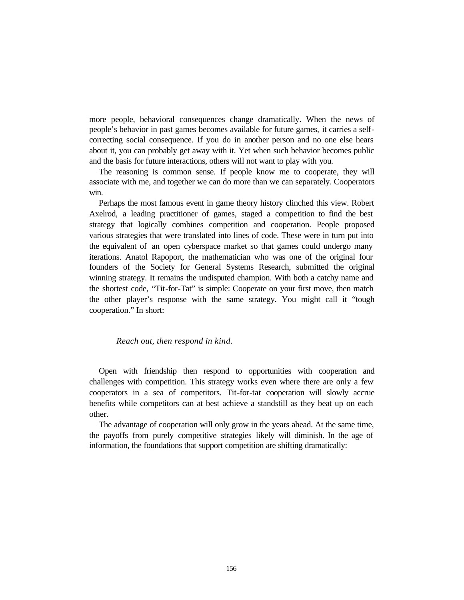more people, behavioral consequences change dramatically. When the news of people's behavior in past games becomes available for future games, it carries a selfcorrecting social consequence. If you do in another person and no one else hears about it, you can probably get away with it. Yet when such behavior becomes public and the basis for future interactions, others will not want to play with you.

The reasoning is common sense. If people know me to cooperate, they will associate with me, and together we can do more than we can separately. Cooperators win.

Perhaps the most famous event in game theory history clinched this view. Robert Axelrod, a leading practitioner of games, staged a competition to find the best strategy that logically combines competition and cooperation. People proposed various strategies that were translated into lines of code. These were in turn put into the equivalent of an open cyberspace market so that games could undergo many iterations. Anatol Rapoport, the mathematician who was one of the original four founders of the Society for General Systems Research, submitted the original winning strategy. It remains the undisputed champion. With both a catchy name and the shortest code, "Tit-for-Tat" is simple: Cooperate on your first move, then match the other player's response with the same strategy. You might call it "tough cooperation." In short:

#### *Reach out, then respond in kind.*

Open with friendship then respond to opportunities with cooperation and challenges with competition. This strategy works even where there are only a few cooperators in a sea of competitors. Tit-for-tat cooperation will slowly accrue benefits while competitors can at best achieve a standstill as they beat up on each other.

The advantage of cooperation will only grow in the years ahead. At the same time, the payoffs from purely competitive strategies likely will diminish. In the age of information, the foundations that support competition are shifting dramatically: